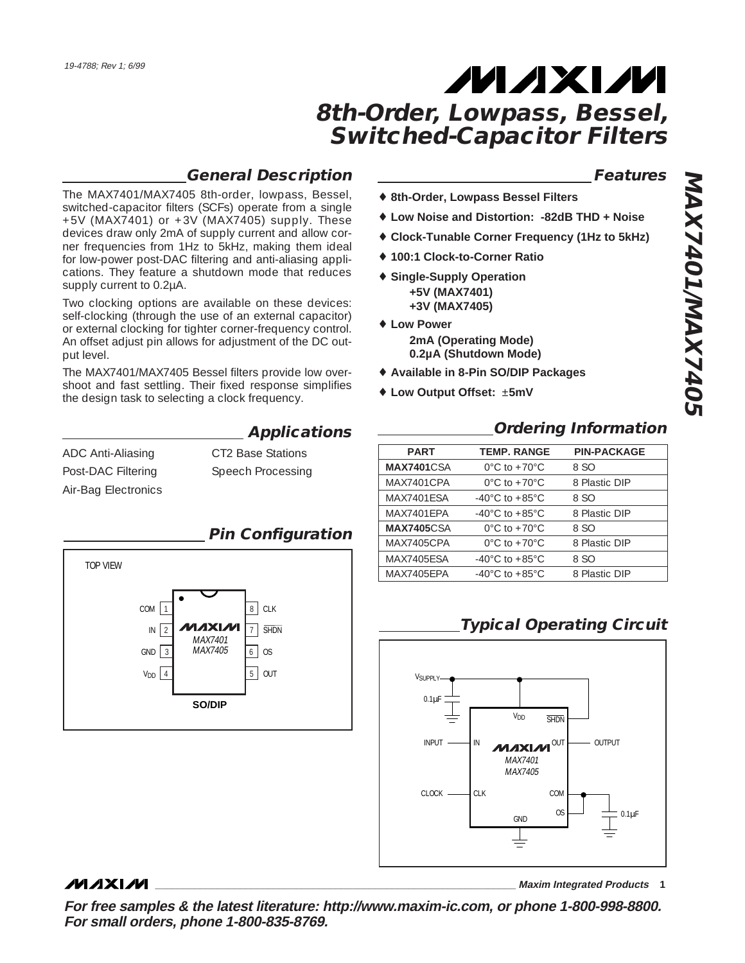## **General Description**

The MAX7401/MAX7405 8th-order, lowpass, Bessel, switched-capacitor filters (SCFs) operate from a single +5V (MAX7401) or +3V (MAX7405) supply. These devices draw only 2mA of supply current and allow corner frequencies from 1Hz to 5kHz, making them ideal for low-power post-DAC filtering and anti-aliasing applications. They feature a shutdown mode that reduces supply current to 0.2µA.

Two clocking options are available on these devices: self-clocking (through the use of an external capacitor) or external clocking for tighter corner-frequency control. An offset adjust pin allows for adjustment of the DC output level.

The MAX7401/MAX7405 Bessel filters provide low overshoot and fast settling. Their fixed response simplifies the design task to selecting a clock frequency.

| ADC Anti-Aliasing   | CT2 Base Stations |
|---------------------|-------------------|
| Post-DAC Filtering  | Speech Processing |
| Air-Bag Electronics |                   |



## **Applications**

#### **Features**

- ♦ **8th-Order, Lowpass Bessel Filters**
- ♦ **Low Noise and Distortion: -82dB THD + Noise**
- ♦ **Clock-Tunable Corner Frequency (1Hz to 5kHz)**
- ♦ **100:1 Clock-to-Corner Ratio**
- ♦ **Single-Supply Operation +5V (MAX7401) +3V (MAX7405)**
- ♦ **Low Power 2mA (Operating Mode) 0.2µA (Shutdown Mode)**
- ♦ **Available in 8-Pin SO/DIP Packages**
- ♦ **Low Output Offset:** ±**5mV**

### **Ordering Information**

| <b>PART</b>        | <b>TEMP. RANGE</b>                 | <b>PIN-PACKAGE</b> |
|--------------------|------------------------------------|--------------------|
| <b>MAX7401</b> CSA | $0^{\circ}$ C to +70 $^{\circ}$ C  | 8 SO               |
| MAX7401CPA         | $0^{\circ}$ C to +70 $^{\circ}$ C  | 8 Plastic DIP      |
| MAX7401FSA         | $-40^{\circ}$ C to $+85^{\circ}$ C | 8 SO               |
| MAX7401FPA         | $-40^{\circ}$ C to $+85^{\circ}$ C | 8 Plastic DIP      |
| <b>MAX7405</b> CSA | $0^{\circ}$ C to +70 $^{\circ}$ C  | 8 SO               |
| MAX7405CPA         | $0^{\circ}$ C to +70 $^{\circ}$ C  | 8 Plastic DIP      |
| <b>MAX7405ESA</b>  | $-40^{\circ}$ C to $+85^{\circ}$ C | 8 SO               |
| MAX7405FPA         | $-40^{\circ}$ C to $+85^{\circ}$ C | 8 Plastic DIP      |
|                    |                                    |                    |

## **Typical Operating Circuit**



### **MAXIM**

**\_\_\_\_\_\_\_\_\_\_\_\_\_\_\_\_\_\_\_\_\_\_\_\_\_\_\_\_\_\_\_\_\_\_\_\_\_\_\_\_\_\_\_\_\_\_\_\_\_\_\_\_\_\_\_\_\_\_\_\_\_\_\_\_ Maxim Integrated Products 1**

**For free samples & the latest literature: http://www.maxim-ic.com, or phone 1-800-998-8800. For small orders, phone 1-800-835-8769.**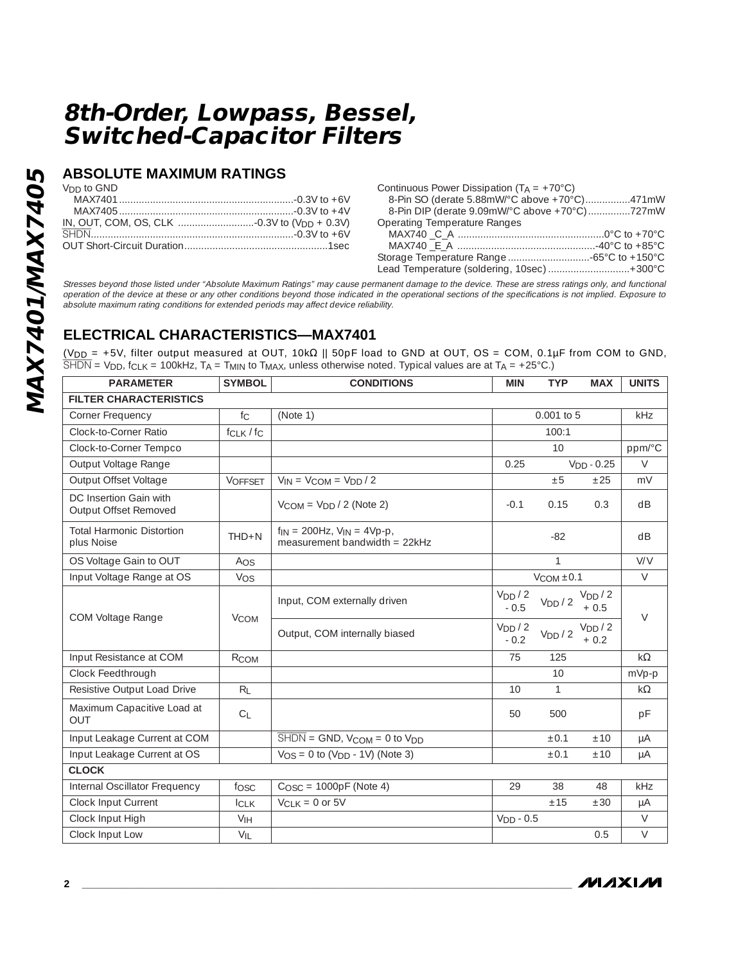### **ABSOLUTE MAXIMUM RATINGS**

V<sub>DD</sub> to GND

| Continuous Power Dissipation ( $T_A = +70^{\circ}C$ ) |  |
|-------------------------------------------------------|--|
| 8-Pin SO (derate 5.88mW/°C above +70°C)471mW          |  |
| 8-Pin DIP (derate 9.09mW/°C above +70°C)727mW         |  |
| <b>Operating Temperature Ranges</b>                   |  |
|                                                       |  |
|                                                       |  |
|                                                       |  |
| Lead Temperature (soldering, 10sec)  +300°C           |  |

Stresses beyond those listed under "Absolute Maximum Ratings" may cause permanent damage to the device. These are stress ratings only, and functional operation of the device at these or any other conditions beyond those indicated in the operational sections of the specifications is not implied. Exposure to absolute maximum rating conditions for extended periods may affect device reliability.

## **ELECTRICAL CHARACTERISTICS—MAX7401**

(VDD = +5V, filter output measured at OUT, 10kΩ || 50pF load to GND at OUT, OS = COM, 0.1µF from COM to GND,  $\overline{\text{SHDN}} = \text{V}_{\text{DD}}$ , f<sub>CLK</sub> = 100kHz, T<sub>A</sub> = T<sub>MIN</sub> to T<sub>MAX</sub>, unless otherwise noted. Typical values are at T<sub>A</sub> = +25°C.)

| <b>PARAMETER</b>                                | <b>SYMBOL</b>   | <b>CONDITIONS</b>                                                      |                               | <b>TYP</b>          | <b>MAX</b>                    | <b>UNITS</b> |
|-------------------------------------------------|-----------------|------------------------------------------------------------------------|-------------------------------|---------------------|-------------------------------|--------------|
| <b>FILTER CHARACTERISTICS</b>                   |                 |                                                                        |                               |                     |                               |              |
| Corner Frequency                                | $f_{\rm C}$     | (Note 1)                                                               |                               | 0.001 to 5          |                               | kHz          |
| Clock-to-Corner Ratio                           | fcLK / fc       |                                                                        |                               | 100:1               |                               |              |
| Clock-to-Corner Tempco                          |                 |                                                                        |                               | 10                  |                               | ppm/°C       |
| Output Voltage Range                            |                 |                                                                        | 0.25                          |                     | $VDD - 0.25$                  | $\vee$       |
| Output Offset Voltage                           | <b>VOFFSET</b>  | $V_{IN} = V_{COM} = V_{DD} / 2$                                        |                               | ±5                  | ±25                           | mV           |
| DC Insertion Gain with<br>Output Offset Removed |                 | $V_{COM} = V_{DD} / 2$ (Note 2)                                        | $-0.1$                        | 0.15                | 0.3                           | dB           |
| <b>Total Harmonic Distortion</b><br>plus Noise  | $THD+N$         | $f_{IN}$ = 200Hz, $V_{IN}$ = 4Vp-p,<br>measurement bandwidth = $22kHz$ |                               | $-82$               |                               | dB           |
| OS Voltage Gain to OUT                          | Aos             |                                                                        |                               | 1                   |                               | V/V          |
| Input Voltage Range at OS                       | Vos             |                                                                        |                               | $V_{COM}$ ±0.1      |                               | $\vee$       |
| <b>COM Voltage Range</b>                        |                 | Input, COM externally driven                                           | V <sub>DD</sub> / 2<br>$-0.5$ | V <sub>DD</sub> / 2 | V <sub>DD</sub> /2<br>$+0.5$  | $\vee$       |
|                                                 | <b>VCOM</b>     | Output, COM internally biased                                          | V <sub>DD</sub> / 2<br>$-0.2$ | V <sub>DD</sub> / 2 | V <sub>DD</sub> / 2<br>$+0.2$ |              |
| Input Resistance at COM                         | RCOM            |                                                                        | 75                            | 125                 |                               | $k\Omega$    |
| Clock Feedthrough                               |                 |                                                                        |                               | 10                  |                               | mVp-p        |
| Resistive Output Load Drive                     | $R_L$           |                                                                        | 10                            | $\mathbf{1}$        |                               | $k\Omega$    |
| Maximum Capacitive Load at<br>OUT               | C <sub>L</sub>  |                                                                        | 50                            | 500                 |                               | pF           |
| Input Leakage Current at COM                    |                 | $\overline{\text{SHDN}}$ = GND, $V_{COM}$ = 0 to $V_{DD}$              |                               | ±0.1                | ±10                           | μA           |
| Input Leakage Current at OS                     |                 | $V_{OS} = 0$ to $(V_{DD} - 1V)$ (Note 3)                               |                               | $\pm 0.1$           | ±10                           | μA           |
| <b>CLOCK</b>                                    |                 |                                                                        |                               |                     |                               |              |
| Internal Oscillator Frequency                   | fosc            | $COSC = 1000pF$ (Note 4)                                               | 29                            | 38                  | 48                            | <b>kHz</b>   |
| Clock Input Current                             | <b>ICLK</b>     | $V_{CLK} = 0$ or 5V                                                    |                               | ±15                 | ±30                           | μA           |
| Clock Input High                                | V <sub>IH</sub> |                                                                        | $VDD - 0.5$                   |                     |                               | $\vee$       |
| Clock Input Low                                 | $V_{IL}$        |                                                                        |                               |                     | 0.5                           | $\vee$       |

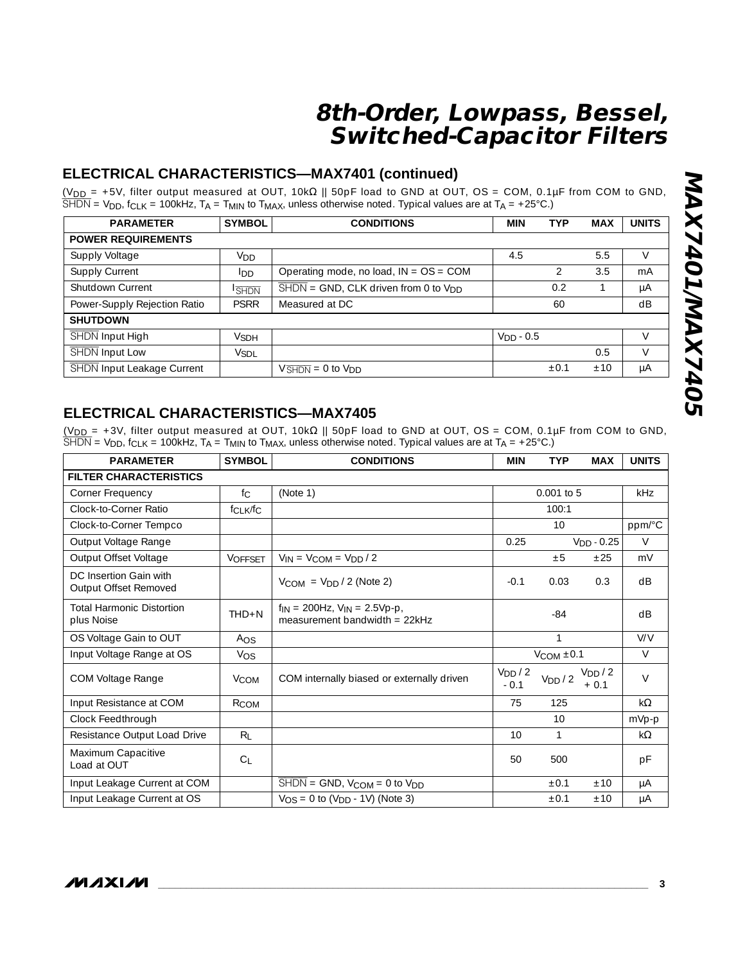## **ELECTRICAL CHARACTERISTICS—MAX7401 (continued)**

(V<sub>DD</sub> = +5V, filter output measured at OUT, 10kΩ || 50pF load to GND at OUT, OS = COM, 0.1µF from COM to GND,  $\overline{\rm SHDN}$  = V $_{\rm DD}$ , f $_{\rm CLK}$  = 100kHz, T $_{\rm A}$  = T $_{\rm MIN}$  to T $_{\rm MAX}$ , unless otherwise noted. Typical values are at T $_{\rm A}$  = +25°C.)

| <b>PARAMETER</b>             | <b>SYMBOL</b>         | <b>CONDITIONS</b>                                                    | <b>MIN</b>  | <b>TYP</b> | <b>MAX</b> | <b>UNITS</b> |
|------------------------------|-----------------------|----------------------------------------------------------------------|-------------|------------|------------|--------------|
| <b>POWER REQUIREMENTS</b>    |                       |                                                                      |             |            |            |              |
| Supply Voltage               | <b>V<sub>DD</sub></b> | 5.5<br>4.5                                                           |             |            |            |              |
| <b>Supply Current</b>        | IDD                   | 3.5<br>Operating mode, no load, $IN = OS = COM$                      |             |            |            |              |
| Shutdown Current             | <b>SHDN</b>           | $\overline{\text{SHDN}}$ = GND, CLK driven from 0 to V <sub>DD</sub> |             | 0.2        |            | μA           |
| Power-Supply Rejection Ratio | <b>PSRR</b>           | Measured at DC                                                       |             | 60         |            | dB           |
| <b>SHUTDOWN</b>              |                       |                                                                      |             |            |            |              |
| SHDN Input High              | <b>V</b> SDH          |                                                                      | $VDD - 0.5$ |            |            | V            |
| SHDN Input Low               | <b>VSDL</b>           |                                                                      |             |            | 0.5        | $\vee$       |
| SHDN Input Leakage Current   |                       | $V\overline{\text{SHDN}} = 0$ to $V\text{DD}$                        |             | $\pm 0.$   | ±10        | μA           |

## **ELECTRICAL CHARACTERISTICS—MAX7405**

(V<sub>DD</sub> = +3V, filter output measured at OUT, 10kΩ || 50pF load to GND at OUT, OS = COM, 0.1μF from COM to GND,  $\overline{\rm SHDN}$  = V $_{\rm DD}$ , f $_{\rm CLK}$  = 100kHz, T $_{\rm A}$  = T $_{\rm MIN}$  to T $_{\rm MAX}$ , unless otherwise noted. Typical values are at T $_{\rm A}$  = +25°C.)

| <b>PARAMETER</b>                                | <b>SYMBOL</b>                    | <b>CONDITIONS</b>                                                               |                               | <b>TYP</b>          | <b>MAX</b>            | <b>UNITS</b> |
|-------------------------------------------------|----------------------------------|---------------------------------------------------------------------------------|-------------------------------|---------------------|-----------------------|--------------|
| <b>FILTER CHARACTERISTICS</b>                   |                                  |                                                                                 |                               |                     |                       |              |
| Corner Frequency                                | fc                               | (Note 1)                                                                        |                               | $0.001$ to 5        |                       | kHz          |
| Clock-to-Corner Ratio                           | f <sub>CLK</sub> /f <sub>C</sub> |                                                                                 |                               | 100:1               |                       |              |
| Clock-to-Corner Tempco                          |                                  |                                                                                 |                               | 10                  |                       | ppm/°C       |
| Output Voltage Range                            |                                  |                                                                                 | 0.25                          |                     | $VDD - 0.25$          | $\vee$       |
| Output Offset Voltage                           | <b>VOFFSET</b>                   | $V_{IN} = V_{COM} = V_{DD} / 2$                                                 |                               | ±5                  | ±25                   | mV           |
| DC Insertion Gain with<br>Output Offset Removed |                                  | $V_{COM} = V_{DD} / 2$ (Note 2)                                                 | $-0.1$                        | 0.03                | 0.3                   | dB           |
| <b>Total Harmonic Distortion</b><br>plus Noise  | $THD + N$                        | $f_{IN}$ = 200Hz, $V_{IN}$ = 2.5Vp-p,<br>measurement bandwidth = $22kHz$        |                               | $-84$               |                       | dB           |
| OS Voltage Gain to OUT                          | Aos                              |                                                                                 |                               | $\mathbf{1}$        |                       | V/V          |
| Input Voltage Range at OS                       | Vos                              |                                                                                 |                               | $V_{COM}$ ±0.1      |                       | $\vee$       |
| COM Voltage Range                               | <b>V</b> COM                     | COM internally biased or externally driven                                      | V <sub>DD</sub> / 2<br>$-0.1$ | V <sub>DD</sub> / 2 | $V_{DD}/2$<br>$+ 0.1$ | $\vee$       |
| Input Resistance at COM                         | RCOM                             |                                                                                 | 75                            | 125                 |                       | $k\Omega$    |
| Clock Feedthrough                               |                                  |                                                                                 |                               | 10                  |                       | mVp-p        |
| Resistance Output Load Drive                    | $R_L$                            |                                                                                 | 10                            | 1                   |                       | $k\Omega$    |
| Maximum Capacitive<br>Load at OUT               | C <sub>1</sub>                   |                                                                                 | 50                            | 500                 |                       | рF           |
| Input Leakage Current at COM                    |                                  | $\overline{\text{SHDN}} = \text{GND}$ , $V_{\text{COM}} = 0$ to $V_{\text{DD}}$ |                               | ±0.1                | ±10                   | μA           |
| Input Leakage Current at OS                     |                                  | $V_{OS} = 0$ to $(V_{DD} - 1V)$ (Note 3)                                        |                               | ±0.1                | ±10                   | μA           |

*MAXM*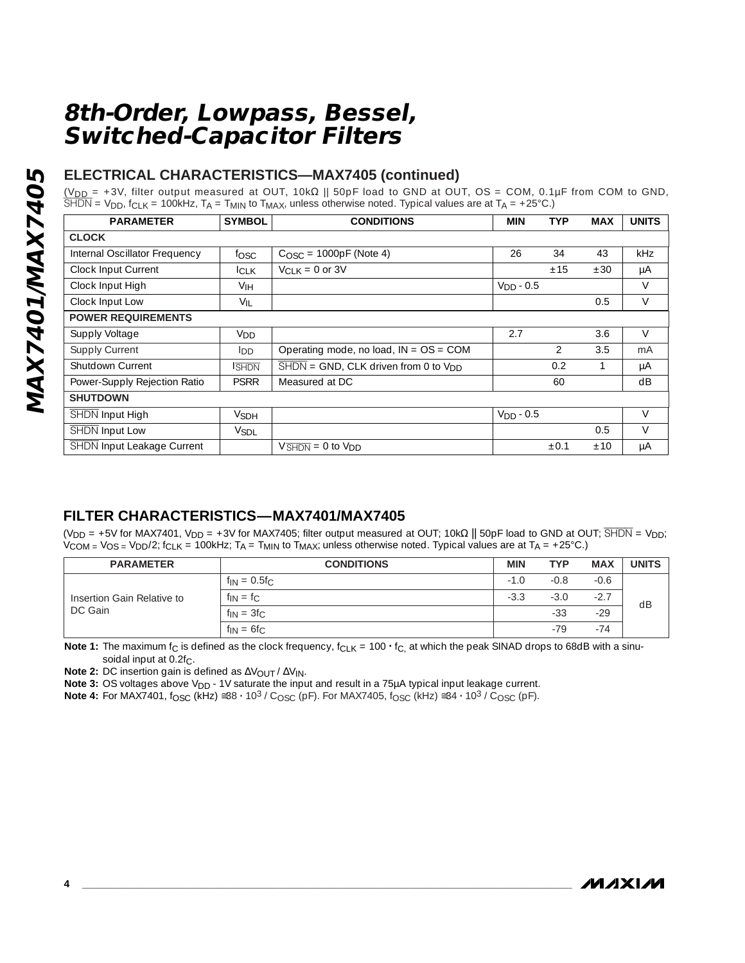## **ELECTRICAL CHARACTERISTICS—MAX7405 (continued)**

(V<sub>DD =</sub> +3V, filter output measured at OUT, 10kΩ || 50pF load to GND at OUT, OS = COM, 0.1μF from COM to GND,  $\overline{\rm SHDN}$  = V<sub>DD</sub>, f<sub>CLK</sub> = 100kHz, T<sub>A</sub> = T<sub>MIN</sub> to T<sub>MAX</sub>, unless otherwise noted. Typical values are at T<sub>A</sub> = +25°C.)

| <b>PARAMETER</b>                  | <b>SYMBOL</b>   | <b>CONDITIONS</b>                                                    | <b>MIN</b>  | <b>TYP</b>    | <b>MAX</b> | <b>UNITS</b> |
|-----------------------------------|-----------------|----------------------------------------------------------------------|-------------|---------------|------------|--------------|
| <b>CLOCK</b>                      |                 |                                                                      |             |               |            |              |
| Internal Oscillator Frequency     | fosc            | $COSC = 1000pF$ (Note 4)                                             | 26          | 34            | 43         | kHz          |
| Clock Input Current               | <b>ICLK</b>     | $V_{CIK} = 0$ or 3V                                                  |             | ±15           | ±30        | μA           |
| Clock Input High                  | V <sub>IH</sub> |                                                                      | $VDD - 0.5$ |               |            | $\vee$       |
| Clock Input Low                   | $V_{IL}$        |                                                                      |             |               | 0.5        | $\vee$       |
| <b>POWER REQUIREMENTS</b>         |                 |                                                                      |             |               |            |              |
| Supply Voltage                    | V <sub>DD</sub> |                                                                      | 2.7         |               | 3.6        | $\vee$       |
| Supply Current                    | ldd.            | Operating mode, no load, $IN = OS = COM$                             |             | $\mathcal{P}$ | 3.5        | mA           |
| Shutdown Current                  | <b>SHDN</b>     | $\overline{\text{SHDN}}$ = GND, CLK driven from 0 to V <sub>DD</sub> |             | 0.2           |            | μA           |
| Power-Supply Rejection Ratio      | <b>PSRR</b>     | Measured at DC                                                       |             | 60            |            | dB           |
| <b>SHUTDOWN</b>                   |                 |                                                                      |             |               |            |              |
| SHDN Input High                   | <b>VSDH</b>     |                                                                      | $VDD - 0.5$ |               |            | $\vee$       |
| SHDN Input Low                    | <b>VSDL</b>     |                                                                      |             |               | 0.5        | $\vee$       |
| <b>SHDN</b> Input Leakage Current |                 | $V\overline{\text{SHDN}} = 0$ to $V\text{DD}$                        |             | $\pm 0.1$     | ±10        | μA           |

## **FILTER CHARACTERISTICS—MAX7401/MAX7405**

(V<sub>DD</sub> = +5V for MAX7401, V<sub>DD</sub> = +3V for MAX7405; filter output measured at OUT; 10kΩ || 50pF load to GND at OUT; SHDN = V<sub>DD</sub>;  $V_{COM} = V_{OS} = V_{DD}/2$ ; f<sub>CLK</sub> = 100kHz; T<sub>A</sub> = T<sub>MIN</sub> to T<sub>MAX</sub>; unless otherwise noted. Typical values are at T<sub>A</sub> = +25°C.)

| <b>PARAMETER</b>                      | <b>CONDITIONS</b>                               | <b>MIN</b> | <b>TYP</b> | <b>MAX</b> | <b>UNITS</b> |
|---------------------------------------|-------------------------------------------------|------------|------------|------------|--------------|
|                                       | $^{\prime}$ f <sub>IN</sub> = 0.5f <sub>C</sub> | $-1.0$     | -0.8       | $-0.6$     |              |
| Insertion Gain Relative to<br>DC Gain | $f_{IN} = f_C$                                  | $-3.3$     | $-3.0$     | $-2.7$     | dB           |
|                                       | $f_{IN} = 3f_C$                                 |            | $-33$      | $-29$      |              |
|                                       | $f_{IN} = 6f_C$                                 |            | $-79$      | $-74$      |              |

**Note 1:** The maximum f<sub>C</sub> is defined as the clock frequency, f<sub>CLK</sub> = 100  $\cdot$  f<sub>C,</sub> at which the peak SINAD drops to 68dB with a sinusoidal input at 0.2f<sub>C</sub>.

**Note 2:** DC insertion gain is defined as ΔV<sub>OUT</sub> / ΔV<sub>IN</sub>.

**Note 3:** OS voltages above V<sub>DD</sub> - 1V saturate the input and result in a 75µA typical input leakage current.

**Note 4:** For MAX7401, f<sub>OSC</sub> (kHz) ≅38 **·** 10<sup>3</sup> / C<sub>OSC</sub> (pF). For MAX7405, f<sub>OSC</sub> (kHz) ≅34 **·** 10<sup>3</sup> / C<sub>OSC</sub> (pF).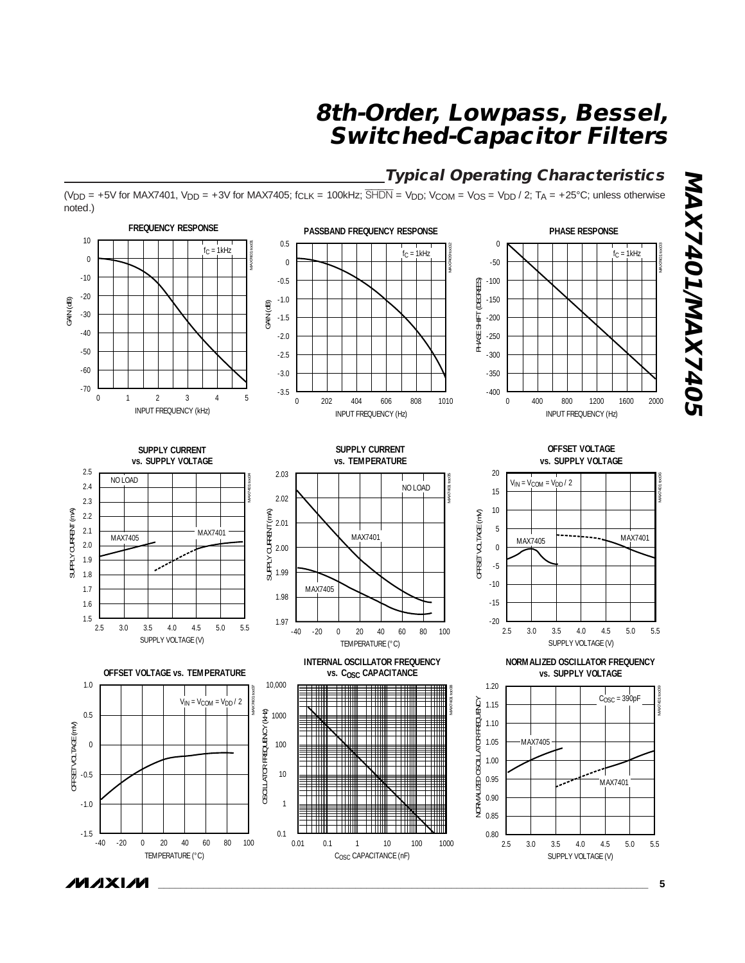## **Typical Operating Characteristics**

(V<sub>DD</sub> = +5V for MAX7401, V<sub>DD</sub> = +3V for MAX7405; f<sub>CLK</sub> = 100kHz;  $\overline{SHDN}$  = V<sub>DD</sub>; V<sub>COM</sub> = V<sub>OS</sub> = V<sub>DD</sub> / 2; T<sub>A</sub> = +25°C; unless otherwise noted.)



**MAXM** 

**MAX7401/MAX7405**

**MAX7401/MAX7405**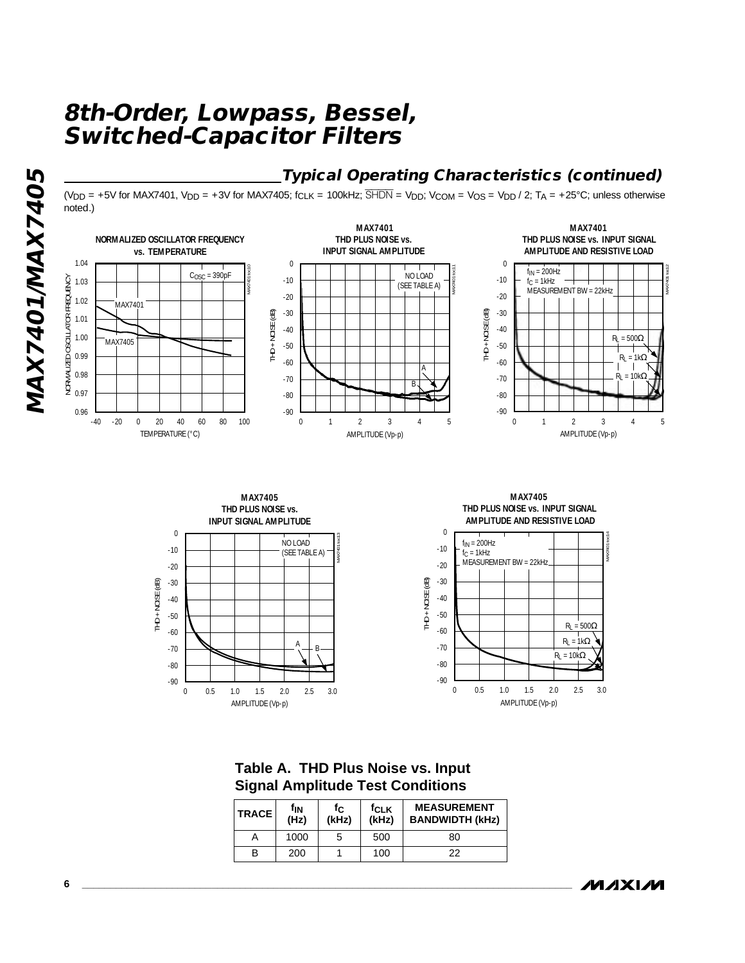## **Typical Operating Characteristics (continued)**

 $(V_{DD} = +5V$  for MAX7401,  $V_{DD} = +3V$  for MAX7405; f<sub>CLK</sub> = 100kHz;  $\overline{SHDN} = V_{DD}$ ;  $V_{COM} = V_{OS} = V_{DD}/2$ ;  $T_A = +25°C$ ; unless otherwise noted.)





**MAX7405 THD PLUS NOISE vs. INPUT SIGNAL AMPLITUDE AND RESISTIVE LOAD**



**Table A. THD Plus Noise vs. Input Signal Amplitude Test Conditions**

| <b>TRACE</b> | fın<br>(Hz) | fclk<br>fc<br>(kHz)<br>(kHz) |     | <b>MEASUREMENT</b><br><b>BANDWIDTH (kHz)</b> |
|--------------|-------------|------------------------------|-----|----------------------------------------------|
|              | 1000        | C.                           | 500 | 80                                           |
|              | 200         |                              | 100 | 22                                           |

*/VI /I* XI /VI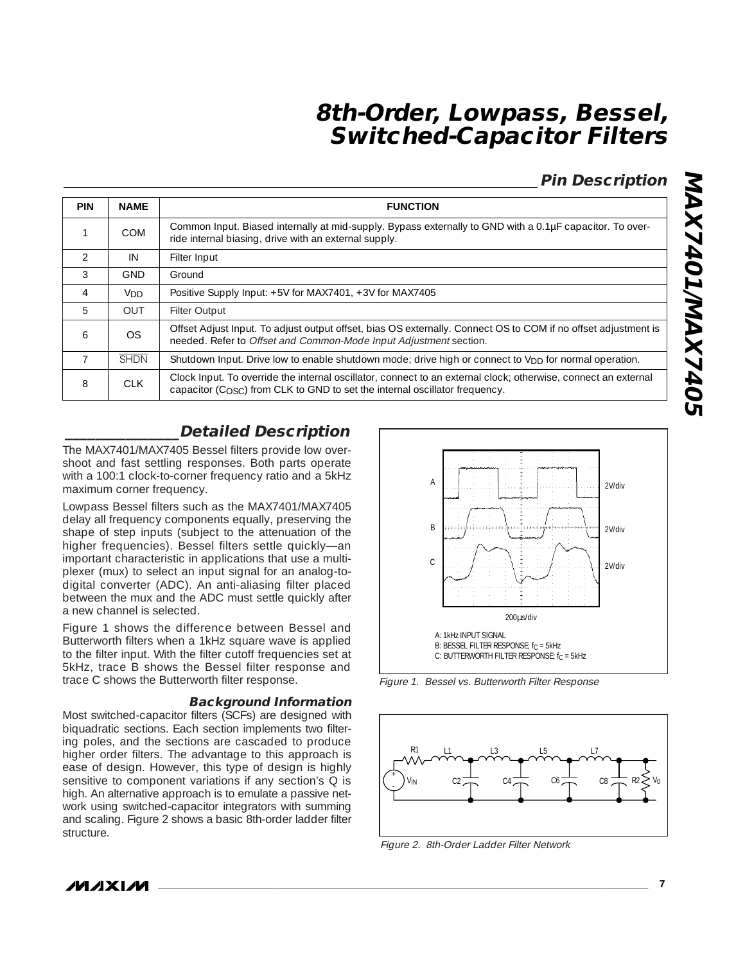## **Pin Description**

| <b>PIN</b>     | <b>NAME</b>     | <b>FUNCTION</b>                                                                                                                                                                                  |
|----------------|-----------------|--------------------------------------------------------------------------------------------------------------------------------------------------------------------------------------------------|
|                | <b>COM</b>      | Common Input. Biased internally at mid-supply. Bypass externally to GND with a 0.1µF capacitor. To over-<br>ride internal biasing, drive with an external supply.                                |
| $\mathcal{P}$  | IN              | Filter Input                                                                                                                                                                                     |
| 3              | <b>GND</b>      | Ground                                                                                                                                                                                           |
| $\overline{4}$ | V <sub>DD</sub> | Positive Supply Input: +5V for MAX7401, +3V for MAX7405                                                                                                                                          |
| 5              | <b>OUT</b>      | <b>Filter Output</b>                                                                                                                                                                             |
| 6              | OS.             | Offset Adjust Input. To adjust output offset, bias OS externally. Connect OS to COM if no offset adjustment is<br>needed. Refer to Offset and Common-Mode Input Adjustment section.              |
| $\overline{7}$ | <b>SHDN</b>     | Shutdown Input. Drive low to enable shutdown mode; drive high or connect to V <sub>DD</sub> for normal operation.                                                                                |
| 8              | CLK             | Clock Input. To override the internal oscillator, connect to an external clock; otherwise, connect an external<br>capacitor ( $COSC$ ) from CLK to GND to set the internal oscillator frequency. |

# **MAX7401/MAX7405 MAX7401/MAX7405**

## **\_\_\_\_\_\_\_\_\_\_\_\_\_\_\_Detailed Description**

The MAX7401/MAX7405 Bessel filters provide low overshoot and fast settling responses. Both parts operate with a 100:1 clock-to-corner frequency ratio and a 5kHz maximum corner frequency.

Lowpass Bessel filters such as the MAX7401/MAX7405 delay all frequency components equally, preserving the shape of step inputs (subject to the attenuation of the higher frequencies). Bessel filters settle quickly—an important characteristic in applications that use a multiplexer (mux) to select an input signal for an analog-todigital converter (ADC). An anti-aliasing filter placed between the mux and the ADC must settle quickly after a new channel is selected.

Figure 1 shows the difference between Bessel and Butterworth filters when a 1kHz square wave is applied to the filter input. With the filter cutoff frequencies set at 5kHz, trace B shows the Bessel filter response and trace C shows the Butterworth filter response.

#### **Background Information**

Most switched-capacitor filters (SCFs) are designed with biquadratic sections. Each section implements two filtering poles, and the sections are cascaded to produce higher order filters. The advantage to this approach is ease of design. However, this type of design is highly sensitive to component variations if any section's Q is high. An alternative approach is to emulate a passive network using switched-capacitor integrators with summing and scaling. Figure 2 shows a basic 8th-order ladder filter structure.



Figure 1. Bessel vs. Butterworth Filter Response



Figure 2. 8th-Order Ladder Filter Network

**MAXM**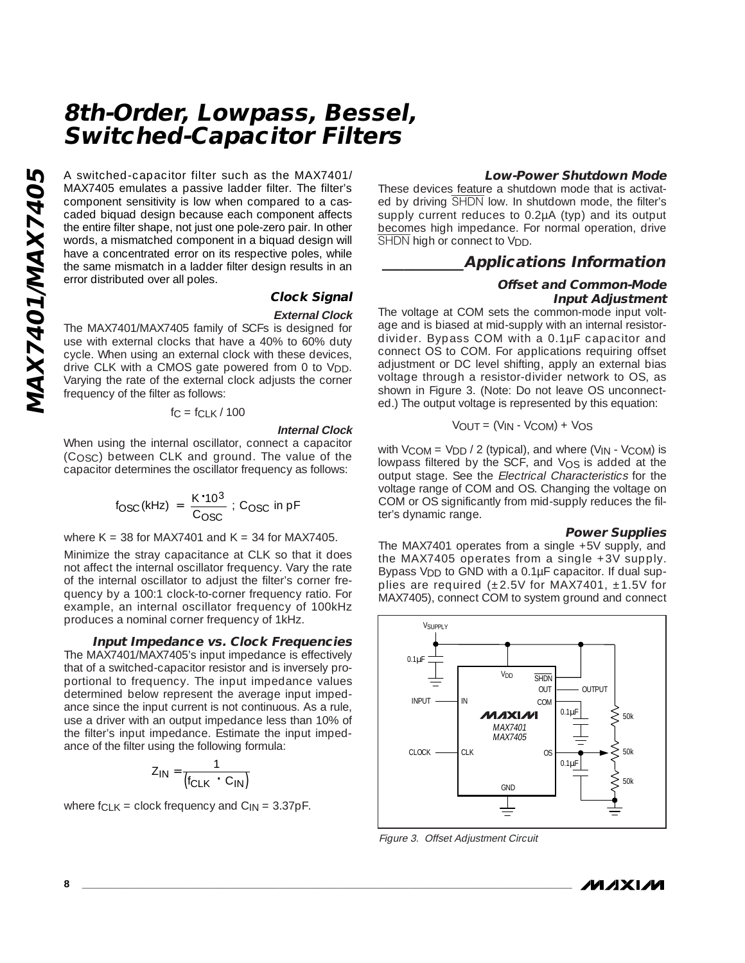A switched-capacitor filter such as the MAX7401/ MAX7405 emulates a passive ladder filter. The filter's component sensitivity is low when compared to a cascaded biquad design because each component affects the entire filter shape, not just one pole-zero pair. In other words, a mismatched component in a biquad design will have a concentrated error on its respective poles, while the same mismatch in a ladder filter design results in an error distributed over all poles.

#### **Clock Signal External Clock**

The MAX7401/MAX7405 family of SCFs is designed for use with external clocks that have a 40% to 60% duty cycle. When using an external clock with these devices, drive CLK with a CMOS gate powered from 0 to V<sub>DD</sub>. Varying the rate of the external clock adjusts the corner frequency of the filter as follows:

#### $fc = fCLK / 100$

#### **Internal Clock**

When using the internal oscillator, connect a capacitor (COSC) between CLK and ground. The value of the capacitor determines the oscillator frequency as follows:

$$
f_{\rm OSC} \, (\text{kHz}) = \frac{\text{K} \cdot 10^3}{\text{C}_{\rm OSC}} : \text{C}_{\rm OSC} \text{ in } \text{pF}
$$

where K = 38 for MAX7401 and K = 34 for MAX7405.

Minimize the stray capacitance at CLK so that it does not affect the internal oscillator frequency. Vary the rate of the internal oscillator to adjust the filter's corner frequency by a 100:1 clock-to-corner frequency ratio. For example, an internal oscillator frequency of 100kHz produces a nominal corner frequency of 1kHz.

#### **Input Impedance vs. Clock Frequencies**

The MAX7401/MAX7405's input impedance is effectively that of a switched-capacitor resistor and is inversely proportional to frequency. The input impedance values determined below represent the average input impedance since the input current is not continuous. As a rule, use a driver with an output impedance less than 10% of the filter's input impedance. Estimate the input impedance of the filter using the following formula:

$$
Z_{IN} = \frac{1}{(f_{CLK} \cdot C_{IN})}
$$

where  $f_{\text{CLK}}$  = clock frequency and  $C_{\text{IN}}$  = 3.37pF.

#### **Low-Power Shutdown Mode**

These devices feature a shutdown mode that is activated by driving SHDN low. In shutdown mode, the filter's supply current reduces to 0.2µA (typ) and its output becomes high impedance. For normal operation, drive SHDN high or connect to V<sub>DD</sub>.

#### **\_\_\_\_\_\_\_\_\_\_\_Applications Information**

#### **Offset and Common-Mode Input Adjustment**

The voltage at COM sets the common-mode input voltage and is biased at mid-supply with an internal resistordivider. Bypass COM with a 0.1µF capacitor and connect OS to COM. For applications requiring offset adjustment or DC level shifting, apply an external bias voltage through a resistor-divider network to OS, as shown in Figure 3. (Note: Do not leave OS unconnected.) The output voltage is represented by this equation:

$$
V_{OUT} = (V_{IN} - V_{COM}) + V_{OS}
$$

with  $V_{COM} = V_{DD} / 2$  (typical), and where  $(V_{IN} - V_{COM})$  is lowpass filtered by the SCF, and  $V_{OS}$  is added at the output stage. See the Electrical Characteristics for the voltage range of COM and OS. Changing the voltage on COM or OS significantly from mid-supply reduces the filter's dynamic range.

#### **Power Supplies**

The MAX7401 operates from a single +5V supply, and the MAX7405 operates from a single +3V supply. Bypass V<sub>DD</sub> to GND with a 0.1µF capacitor. If dual supplies are required  $(\pm 2.5V$  for MAX7401,  $\pm 1.5V$  for MAX7405), connect COM to system ground and connect



Figure 3. Offset Adjustment Circuit

**MAXM**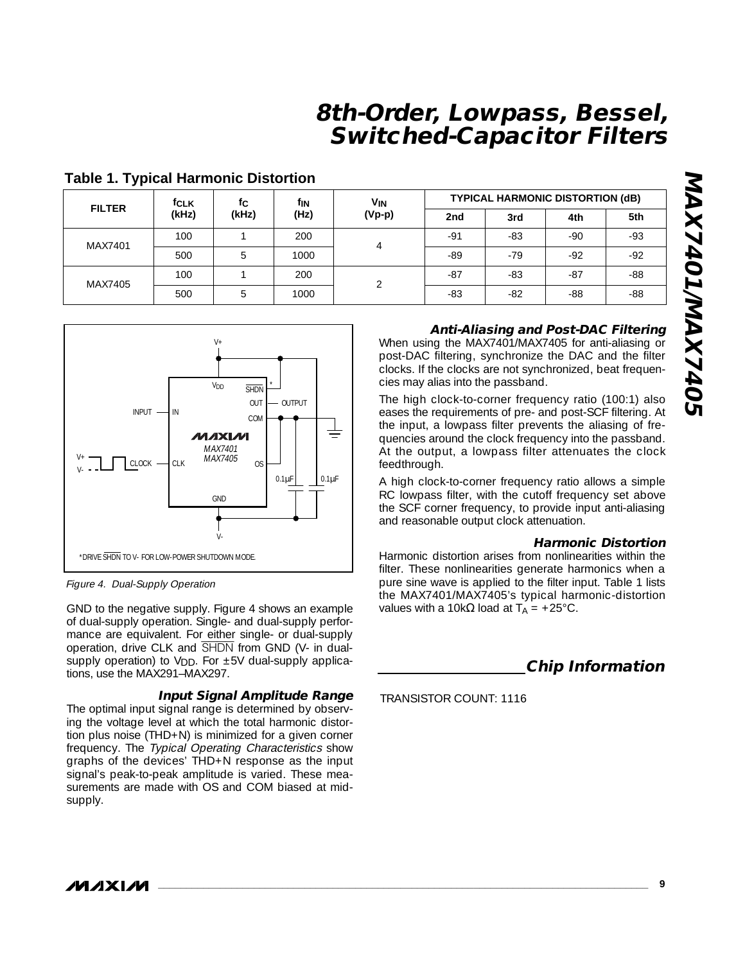| <b>FILTER</b> | fc<br><b>f</b> CLK |       | fın  | VIN      | <b>TYPICAL HARMONIC DISTORTION (dB)</b> |       |       |       |
|---------------|--------------------|-------|------|----------|-----------------------------------------|-------|-------|-------|
|               | (kHz)              | (kHz) | (Hz) | $(Vp-p)$ | 2nd                                     | 3rd   | 4th   | 5th   |
|               | 100                |       | 200  | 4        | $-91$                                   | -83   | -90   | $-93$ |
| MAX7401       | 500                | ხ     | 1000 |          | -89                                     | $-79$ | $-92$ | $-92$ |
| MAX7405       | 100                |       | 200  | ↷        | $-87$                                   | -83   | $-87$ | $-88$ |
|               | 500                | b     | 1000 |          | $-83$                                   | -82   | $-88$ | $-88$ |

#### **Table 1. Typical Harmonic Distortion**



Figure 4. Dual-Supply Operation

GND to the negative supply. Figure 4 shows an example of dual-supply operation. Single- and dual-supply performance are equivalent. For either single- or dual-supply operation, drive CLK and SHDN from GND (V- in dualsupply operation) to  $V_{\text{DD}}$ . For  $\pm 5V$  dual-supply applications, use the MAX291–MAX297.

#### **Input Signal Amplitude Range**

The optimal input signal range is determined by observing the voltage level at which the total harmonic distortion plus noise (THD+N) is minimized for a given corner frequency. The Typical Operating Characteristics show graphs of the devices' THD+N response as the input signal's peak-to-peak amplitude is varied. These measurements are made with OS and COM biased at midsupply.

#### **Anti-Aliasing and Post-DAC Filtering**

When using the MAX7401/MAX7405 for anti-aliasing or post-DAC filtering, synchronize the DAC and the filter clocks. If the clocks are not synchronized, beat frequencies may alias into the passband.

The high clock-to-corner frequency ratio (100:1) also eases the requirements of pre- and post-SCF filtering. At the input, a lowpass filter prevents the aliasing of frequencies around the clock frequency into the passband. At the output, a lowpass filter attenuates the clock feedthrough.

A high clock-to-corner frequency ratio allows a simple RC lowpass filter, with the cutoff frequency set above the SCF corner frequency, to provide input anti-aliasing and reasonable output clock attenuation.

#### **Harmonic Distortion**

Harmonic distortion arises from nonlinearities within the filter. These nonlinearities generate harmonics when a pure sine wave is applied to the filter input. Table 1 lists the MAX7401/MAX7405's typical harmonic-distortion values with a 10kΩ load at  $T_A = +25^{\circ}$ C.

**Chip Information**

TRANSISTOR COUNT: 1116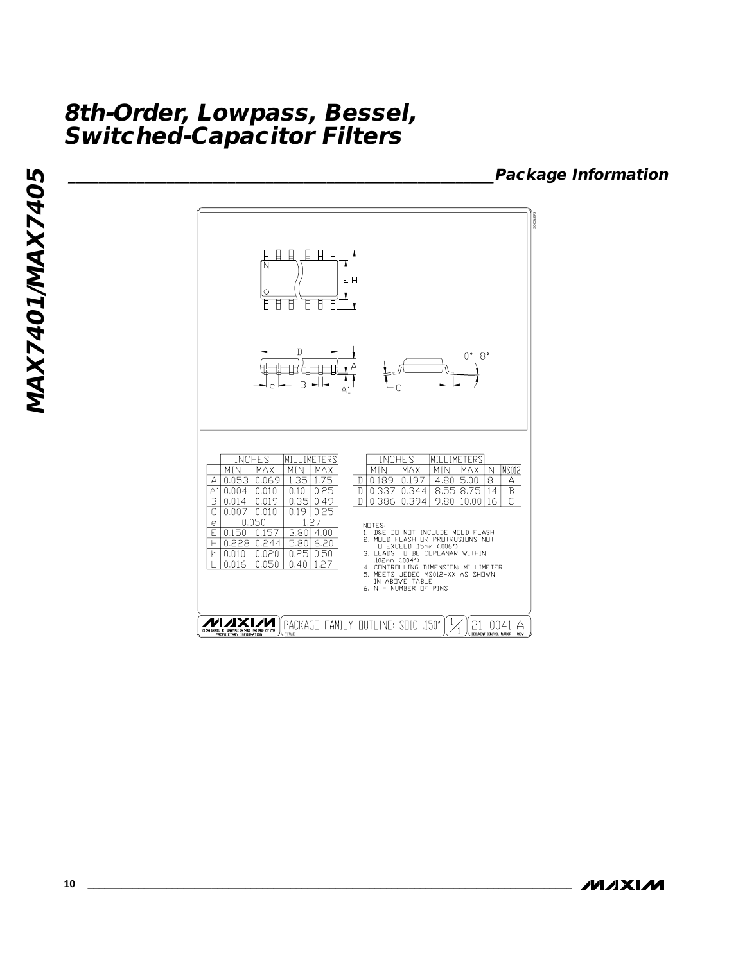**\_\_\_\_\_\_\_\_\_\_\_\_\_\_\_\_\_\_\_\_\_\_\_\_\_\_\_\_\_\_\_\_\_\_\_\_\_\_\_\_\_\_\_\_\_\_\_\_\_\_\_\_\_\_\_\_Package Information**

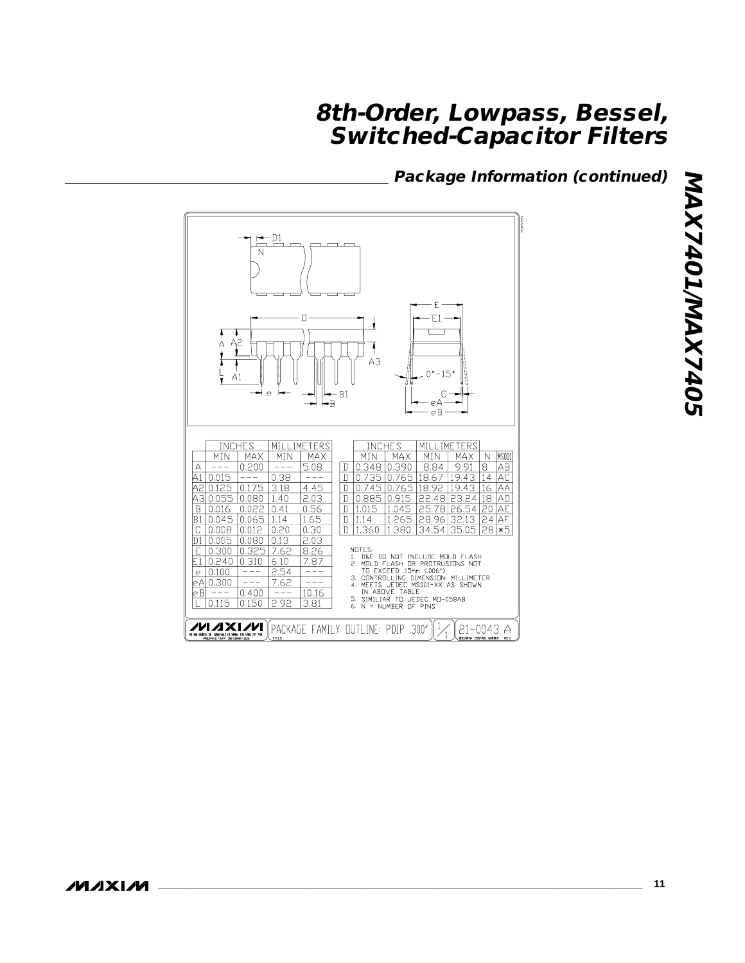## **Package Information (continued)**